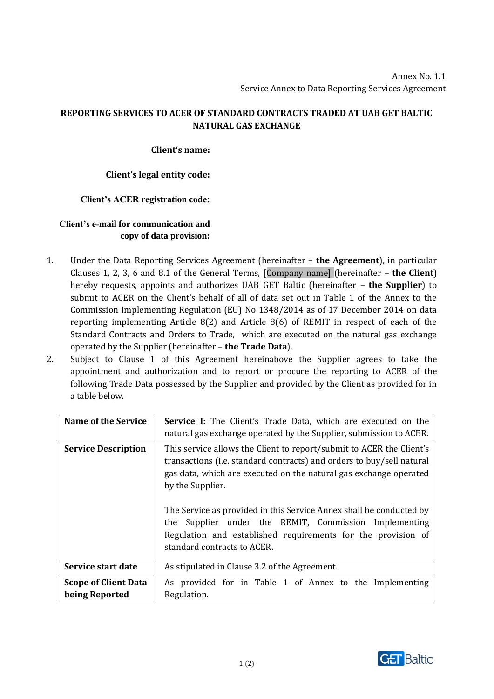# **REPORTING SERVICES TO ACER OF STANDARD CONTRACTS TRADED AT UAB GET BALTIC NATURAL GAS EXCHANGE**

## **Client's name:**

## **Client's legal entity code:**

## **Client's ACER registration code:**

# **Client's e-mail for communication and copy of data provision:**

- 1. Under the Data Reporting Services Agreement (hereinafter **the Agreement**), in particular Clauses 1, 2, 3, 6 and 8.1 of the General Terms, [Company name] (hereinafter – **the Client**) hereby requests, appoints and authorizes UAB GET Baltic (hereinafter – **the Supplier**) to submit to ACER on the Client's behalf of all of data set out in Table 1 of the Annex to the Commission Implementing Regulation (EU) No 1348/2014 as of 17 December 2014 on data reporting implementing Article 8(2) and Article 8(6) of REMIT in respect of each of the Standard Contracts and Orders to Trade, which are executed on the natural gas exchange operated by the Supplier (hereinafter – **the Trade Data**).
- 2. Subject to Clause 1 of this Agreement hereinabove the Supplier agrees to take the appointment and authorization and to report or procure the reporting to ACER of the following Trade Data possessed by the Supplier and provided by the Client as provided for in a table below.

| <b>Name of the Service</b>                    | Service I: The Client's Trade Data, which are executed on the<br>natural gas exchange operated by the Supplier, submission to ACER.                                                                                                                                                                                                                                                                                                                                      |
|-----------------------------------------------|--------------------------------------------------------------------------------------------------------------------------------------------------------------------------------------------------------------------------------------------------------------------------------------------------------------------------------------------------------------------------------------------------------------------------------------------------------------------------|
| <b>Service Description</b>                    | This service allows the Client to report/submit to ACER the Client's<br>transactions (i.e. standard contracts) and orders to buy/sell natural<br>gas data, which are executed on the natural gas exchange operated<br>by the Supplier.<br>The Service as provided in this Service Annex shall be conducted by<br>Supplier under the REMIT, Commission Implementing<br>the<br>Regulation and established requirements for the provision of<br>standard contracts to ACER. |
| Service start date                            | As stipulated in Clause 3.2 of the Agreement.                                                                                                                                                                                                                                                                                                                                                                                                                            |
| <b>Scope of Client Data</b><br>being Reported | As provided for in Table 1 of Annex to the Implementing<br>Regulation.                                                                                                                                                                                                                                                                                                                                                                                                   |